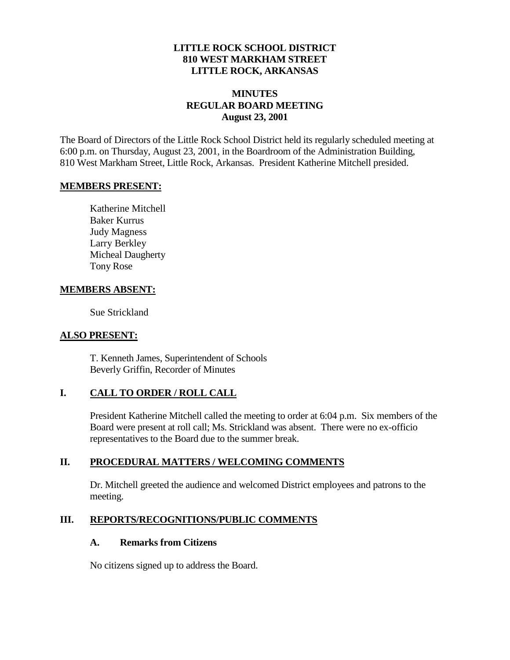### **LITTLE ROCK SCHOOL DISTRICT 810 WEST MARKHAM STREET LITTLE ROCK, ARKANSAS**

# **MINUTES REGULAR BOARD MEETING August 23, 2001**

The Board of Directors of the Little Rock School District held its regularly scheduled meeting at 6:00 p.m. on Thursday, August 23, 2001, in the Boardroom of the Administration Building, 810 West Markham Street, Little Rock, Arkansas. President Katherine Mitchell presided.

#### **MEMBERS PRESENT:**

Katherine Mitchell Baker Kurrus Judy Magness Larry Berkley Micheal Daugherty Tony Rose

#### **MEMBERS ABSENT:**

Sue Strickland

### **ALSO PRESENT:**

T. Kenneth James, Superintendent of Schools Beverly Griffin, Recorder of Minutes

# **I. CALL TO ORDER / ROLL CALL**

President Katherine Mitchell called the meeting to order at 6:04 p.m. Six members of the Board were present at roll call; Ms. Strickland was absent. There were no ex-officio representatives to the Board due to the summer break.

# **II. PROCEDURAL MATTERS / WELCOMING COMMENTS**

Dr. Mitchell greeted the audience and welcomed District employees and patrons to the meeting.

# **III. REPORTS/RECOGNITIONS/PUBLIC COMMENTS**

#### **A. Remarks from Citizens**

No citizens signed up to address the Board.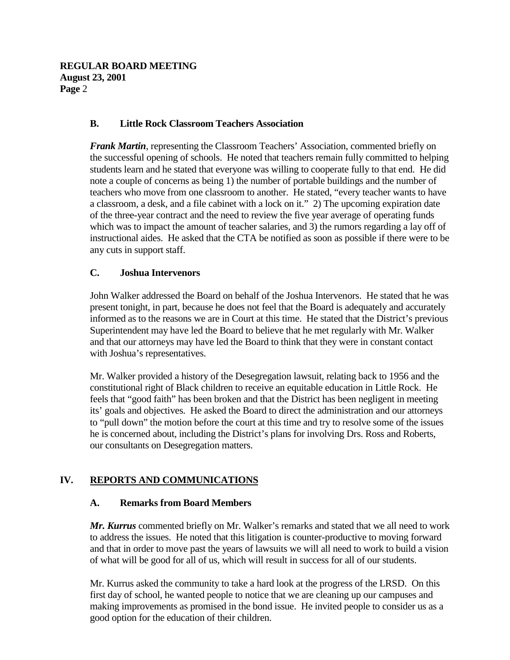### **B. Little Rock Classroom Teachers Association**

*Frank Martin*, representing the Classroom Teachers' Association, commented briefly on the successful opening of schools. He noted that teachers remain fully committed to helping students learn and he stated that everyone was willing to cooperate fully to that end. He did note a couple of concerns as being 1) the number of portable buildings and the number of teachers who move from one classroom to another. He stated, "every teacher wants to have a classroom, a desk, and a file cabinet with a lock on it." 2) The upcoming expiration date of the three-year contract and the need to review the five year average of operating funds which was to impact the amount of teacher salaries, and 3) the rumors regarding a lay off of instructional aides. He asked that the CTA be notified as soon as possible if there were to be any cuts in support staff.

### **C. Joshua Intervenors**

John Walker addressed the Board on behalf of the Joshua Intervenors. He stated that he was present tonight, in part, because he does not feel that the Board is adequately and accurately informed as to the reasons we are in Court at this time. He stated that the District's previous Superintendent may have led the Board to believe that he met regularly with Mr. Walker and that our attorneys may have led the Board to think that they were in constant contact with Joshua's representatives.

Mr. Walker provided a history of the Desegregation lawsuit, relating back to 1956 and the constitutional right of Black children to receive an equitable education in Little Rock. He feels that "good faith" has been broken and that the District has been negligent in meeting its' goals and objectives. He asked the Board to direct the administration and our attorneys to "pull down" the motion before the court at this time and try to resolve some of the issues he is concerned about, including the District's plans for involving Drs. Ross and Roberts, our consultants on Desegregation matters.

# **IV. REPORTS AND COMMUNICATIONS**

#### **A. Remarks from Board Members**

*Mr. Kurrus* commented briefly on Mr. Walker's remarks and stated that we all need to work to address the issues. He noted that this litigation is counter-productive to moving forward and that in order to move past the years of lawsuits we will all need to work to build a vision of what will be good for all of us, which will result in success for all of our students.

Mr. Kurrus asked the community to take a hard look at the progress of the LRSD. On this first day of school, he wanted people to notice that we are cleaning up our campuses and making improvements as promised in the bond issue. He invited people to consider us as a good option for the education of their children.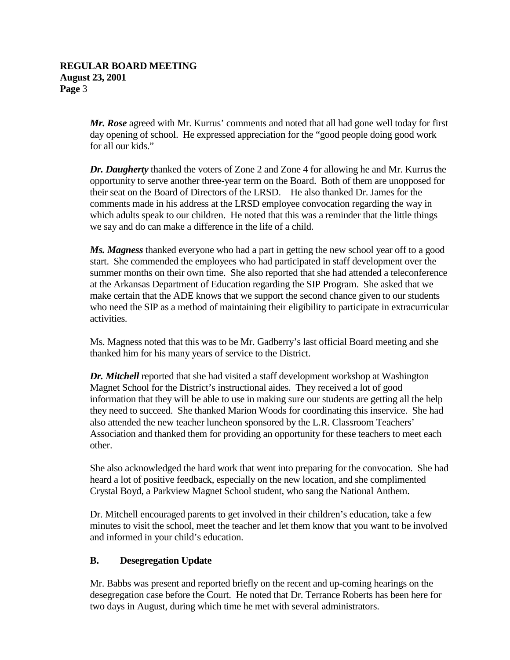*Mr. Rose* agreed with Mr. Kurrus' comments and noted that all had gone well today for first day opening of school. He expressed appreciation for the "good people doing good work for all our kids."

*Dr. Daugherty* thanked the voters of Zone 2 and Zone 4 for allowing he and Mr. Kurrus the opportunity to serve another three-year term on the Board. Both of them are unopposed for their seat on the Board of Directors of the LRSD. He also thanked Dr. James for the comments made in his address at the LRSD employee convocation regarding the way in which adults speak to our children. He noted that this was a reminder that the little things we say and do can make a difference in the life of a child.

*Ms. Magness* thanked everyone who had a part in getting the new school year off to a good start. She commended the employees who had participated in staff development over the summer months on their own time. She also reported that she had attended a teleconference at the Arkansas Department of Education regarding the SIP Program. She asked that we make certain that the ADE knows that we support the second chance given to our students who need the SIP as a method of maintaining their eligibility to participate in extracurricular activities.

Ms. Magness noted that this was to be Mr. Gadberry's last official Board meeting and she thanked him for his many years of service to the District.

*Dr. Mitchell* reported that she had visited a staff development workshop at Washington Magnet School for the District's instructional aides. They received a lot of good information that they will be able to use in making sure our students are getting all the help they need to succeed. She thanked Marion Woods for coordinating this inservice. She had also attended the new teacher luncheon sponsored by the L.R. Classroom Teachers' Association and thanked them for providing an opportunity for these teachers to meet each other.

She also acknowledged the hard work that went into preparing for the convocation. She had heard a lot of positive feedback, especially on the new location, and she complimented Crystal Boyd, a Parkview Magnet School student, who sang the National Anthem.

Dr. Mitchell encouraged parents to get involved in their children's education, take a few minutes to visit the school, meet the teacher and let them know that you want to be involved and informed in your child's education.

# **B. Desegregation Update**

Mr. Babbs was present and reported briefly on the recent and up-coming hearings on the desegregation case before the Court. He noted that Dr. Terrance Roberts has been here for two days in August, during which time he met with several administrators.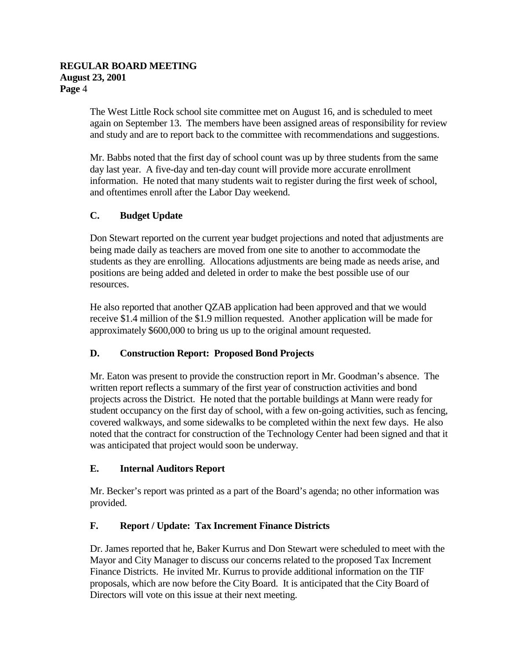The West Little Rock school site committee met on August 16, and is scheduled to meet again on September 13. The members have been assigned areas of responsibility for review and study and are to report back to the committee with recommendations and suggestions.

Mr. Babbs noted that the first day of school count was up by three students from the same day last year. A five-day and ten-day count will provide more accurate enrollment information. He noted that many students wait to register during the first week of school, and oftentimes enroll after the Labor Day weekend.

# **C. Budget Update**

Don Stewart reported on the current year budget projections and noted that adjustments are being made daily as teachers are moved from one site to another to accommodate the students as they are enrolling. Allocations adjustments are being made as needs arise, and positions are being added and deleted in order to make the best possible use of our resources.

He also reported that another QZAB application had been approved and that we would receive \$1.4 million of the \$1.9 million requested. Another application will be made for approximately \$600,000 to bring us up to the original amount requested.

# **D. Construction Report: Proposed Bond Projects**

Mr. Eaton was present to provide the construction report in Mr. Goodman's absence. The written report reflects a summary of the first year of construction activities and bond projects across the District. He noted that the portable buildings at Mann were ready for student occupancy on the first day of school, with a few on-going activities, such as fencing, covered walkways, and some sidewalks to be completed within the next few days. He also noted that the contract for construction of the Technology Center had been signed and that it was anticipated that project would soon be underway.

# **E. Internal Auditors Report**

Mr. Becker's report was printed as a part of the Board's agenda; no other information was provided.

# **F. Report / Update: Tax Increment Finance Districts**

Dr. James reported that he, Baker Kurrus and Don Stewart were scheduled to meet with the Mayor and City Manager to discuss our concerns related to the proposed Tax Increment Finance Districts. He invited Mr. Kurrus to provide additional information on the TIF proposals, which are now before the City Board. It is anticipated that the City Board of Directors will vote on this issue at their next meeting.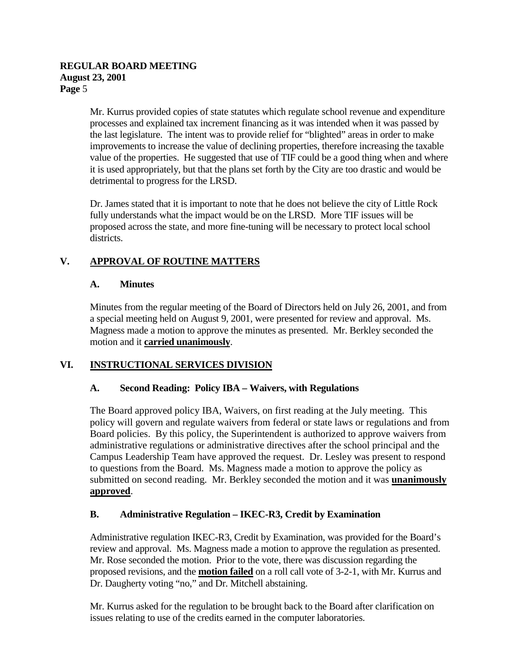#### **REGULAR BOARD MEETING August 23, 2001 Page** 5

Mr. Kurrus provided copies of state statutes which regulate school revenue and expenditure processes and explained tax increment financing as it was intended when it was passed by the last legislature. The intent was to provide relief for "blighted" areas in order to make improvements to increase the value of declining properties, therefore increasing the taxable value of the properties. He suggested that use of TIF could be a good thing when and where it is used appropriately, but that the plans set forth by the City are too drastic and would be detrimental to progress for the LRSD.

Dr. James stated that it is important to note that he does not believe the city of Little Rock fully understands what the impact would be on the LRSD. More TIF issues will be proposed across the state, and more fine-tuning will be necessary to protect local school districts.

# **V. APPROVAL OF ROUTINE MATTERS**

# **A. Minutes**

Minutes from the regular meeting of the Board of Directors held on July 26, 2001, and from a special meeting held on August 9, 2001, were presented for review and approval. Ms. Magness made a motion to approve the minutes as presented. Mr. Berkley seconded the motion and it **carried unanimously**.

# **VI. INSTRUCTIONAL SERVICES DIVISION**

# **A. Second Reading: Policy IBA – Waivers, with Regulations**

The Board approved policy IBA, Waivers, on first reading at the July meeting. This policy will govern and regulate waivers from federal or state laws or regulations and from Board policies. By this policy, the Superintendent is authorized to approve waivers from administrative regulations or administrative directives after the school principal and the Campus Leadership Team have approved the request. Dr. Lesley was present to respond to questions from the Board. Ms. Magness made a motion to approve the policy as submitted on second reading. Mr. Berkley seconded the motion and it was **unanimously approved**.

# **B. Administrative Regulation – IKEC-R3, Credit by Examination**

Administrative regulation IKEC-R3, Credit by Examination, was provided for the Board's review and approval. Ms. Magness made a motion to approve the regulation as presented. Mr. Rose seconded the motion. Prior to the vote, there was discussion regarding the proposed revisions, and the **motion failed** on a roll call vote of 3-2-1, with Mr. Kurrus and Dr. Daugherty voting "no," and Dr. Mitchell abstaining.

Mr. Kurrus asked for the regulation to be brought back to the Board after clarification on issues relating to use of the credits earned in the computer laboratories.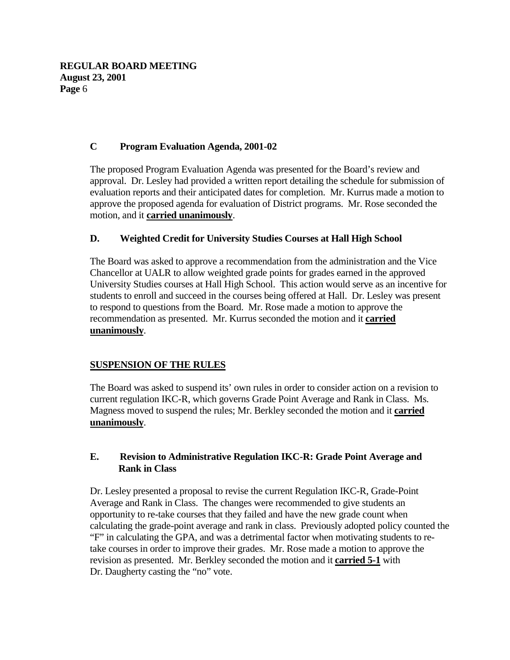**REGULAR BOARD MEETING August 23, 2001 Page** 6

### **C Program Evaluation Agenda, 2001-02**

The proposed Program Evaluation Agenda was presented for the Board's review and approval. Dr. Lesley had provided a written report detailing the schedule for submission of evaluation reports and their anticipated dates for completion. Mr. Kurrus made a motion to approve the proposed agenda for evaluation of District programs. Mr. Rose seconded the motion, and it **carried unanimously**.

### **D. Weighted Credit for University Studies Courses at Hall High School**

The Board was asked to approve a recommendation from the administration and the Vice Chancellor at UALR to allow weighted grade points for grades earned in the approved University Studies courses at Hall High School. This action would serve as an incentive for students to enroll and succeed in the courses being offered at Hall. Dr. Lesley was present to respond to questions from the Board. Mr. Rose made a motion to approve the recommendation as presented. Mr. Kurrus seconded the motion and it **carried unanimously**.

# **SUSPENSION OF THE RULES**

The Board was asked to suspend its' own rules in order to consider action on a revision to current regulation IKC-R, which governs Grade Point Average and Rank in Class. Ms. Magness moved to suspend the rules; Mr. Berkley seconded the motion and it **carried unanimously**.

### **E. Revision to Administrative Regulation IKC-R: Grade Point Average and Rank in Class**

Dr. Lesley presented a proposal to revise the current Regulation IKC-R, Grade-Point Average and Rank in Class. The changes were recommended to give students an opportunity to re-take courses that they failed and have the new grade count when calculating the grade-point average and rank in class. Previously adopted policy counted the "F" in calculating the GPA, and was a detrimental factor when motivating students to retake courses in order to improve their grades. Mr. Rose made a motion to approve the revision as presented. Mr. Berkley seconded the motion and it **carried 5-1** with Dr. Daugherty casting the "no" vote.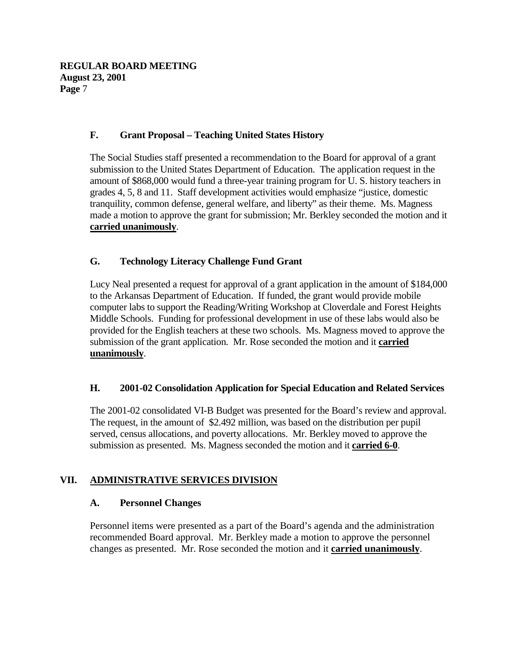### **F. Grant Proposal – Teaching United States History**

The Social Studies staff presented a recommendation to the Board for approval of a grant submission to the United States Department of Education. The application request in the amount of \$868,000 would fund a three-year training program for U. S. history teachers in grades 4, 5, 8 and 11. Staff development activities would emphasize "justice, domestic tranquility, common defense, general welfare, and liberty" as their theme. Ms. Magness made a motion to approve the grant for submission; Mr. Berkley seconded the motion and it **carried unanimously**.

### **G. Technology Literacy Challenge Fund Grant**

Lucy Neal presented a request for approval of a grant application in the amount of \$184,000 to the Arkansas Department of Education. If funded, the grant would provide mobile computer labs to support the Reading/Writing Workshop at Cloverdale and Forest Heights Middle Schools. Funding for professional development in use of these labs would also be provided for the English teachers at these two schools. Ms. Magness moved to approve the submission of the grant application. Mr. Rose seconded the motion and it **carried unanimously**.

#### **H. 2001-02 Consolidation Application for Special Education and Related Services**

The 2001-02 consolidated VI-B Budget was presented for the Board's review and approval. The request, in the amount of \$2.492 million, was based on the distribution per pupil served, census allocations, and poverty allocations. Mr. Berkley moved to approve the submission as presented. Ms. Magness seconded the motion and it **carried 6-0**.

#### **VII. ADMINISTRATIVE SERVICES DIVISION**

#### **A. Personnel Changes**

Personnel items were presented as a part of the Board's agenda and the administration recommended Board approval. Mr. Berkley made a motion to approve the personnel changes as presented. Mr. Rose seconded the motion and it **carried unanimously**.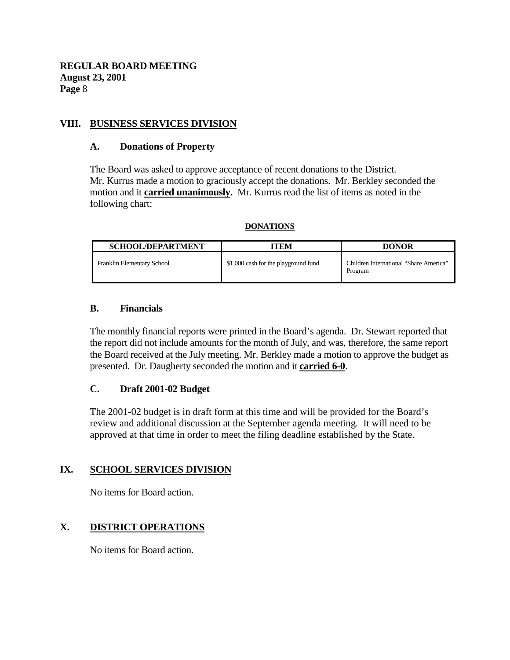### **VIII. BUSINESS SERVICES DIVISION**

#### **A. Donations of Property**

The Board was asked to approve acceptance of recent donations to the District. Mr. Kurrus made a motion to graciously accept the donations. Mr. Berkley seconded the motion and it **carried unanimously.** Mr. Kurrus read the list of items as noted in the following chart:

#### **DONATIONS**

| <b>SCHOOL/DEPARTMENT</b>   | ITEM                                 | <b>DONOR</b>                                      |
|----------------------------|--------------------------------------|---------------------------------------------------|
| Franklin Elementary School | \$1,000 cash for the playground fund | Children International "Share America"<br>Program |

#### **B. Financials**

The monthly financial reports were printed in the Board's agenda. Dr. Stewart reported that the report did not include amounts for the month of July, and was, therefore, the same report the Board received at the July meeting. Mr. Berkley made a motion to approve the budget as presented. Dr. Daugherty seconded the motion and it **carried 6-0**.

#### **C. Draft 2001-02 Budget**

The 2001-02 budget is in draft form at this time and will be provided for the Board's review and additional discussion at the September agenda meeting. It will need to be approved at that time in order to meet the filing deadline established by the State.

#### **IX. SCHOOL SERVICES DIVISION**

No items for Board action.

#### **X. DISTRICT OPERATIONS**

No items for Board action.